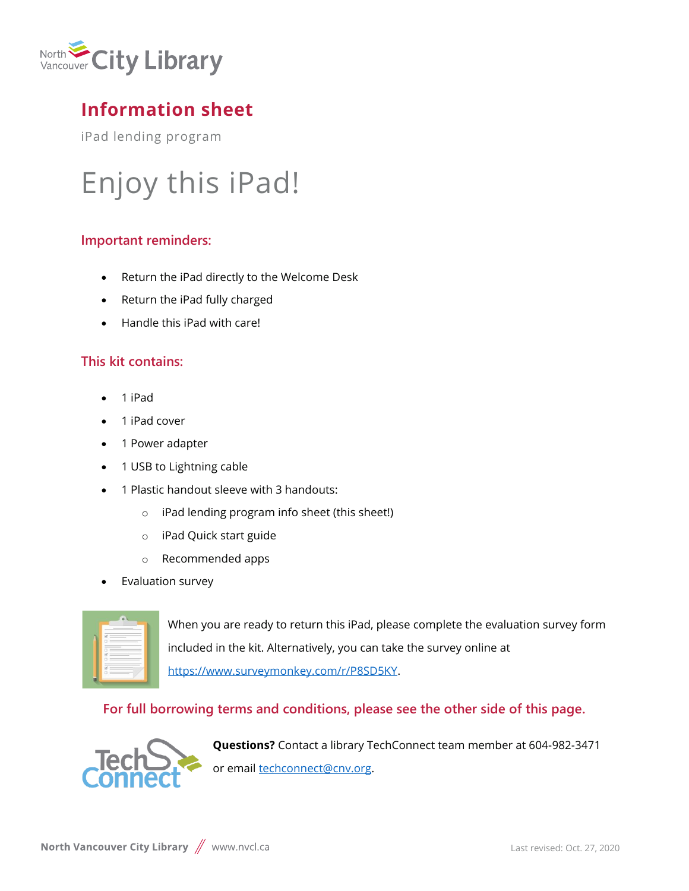

# **Information sheet**

iPad lending program

# Enjoy this iPad!

## **Important reminders:**

- Return the iPad directly to the Welcome Desk
- Return the iPad fully charged
- Handle this iPad with care!

# **This kit contains:**

- 1 iPad
- 1 iPad cover
- 1 Power adapter
- 1 USB to Lightning cable
- 1 Plastic handout sleeve with 3 handouts:
	- o iPad lending program info sheet (this sheet!)
	- o iPad Quick start guide
	- o Recommended apps
- Evaluation survey

| -<br>÷ |         |  |
|--------|---------|--|
|        | ×       |  |
|        |         |  |
| Ξ      | __<br>۰ |  |
| ٠      |         |  |
|        |         |  |
|        |         |  |
|        |         |  |

When you are ready to return this iPad, please complete the evaluation survey form included in the kit. Alternatively, you can take the survey online at [https://www.surveymonkey.com/r/P8SD5KY.](https://www.surveymonkey.com/r/P8SD5KY)

## **For full borrowing terms and conditions, please see the other side of this page.**



**Questions?** Contact a library TechConnect team member at 604-982-3471 or email **techconnect@cnv.org**.